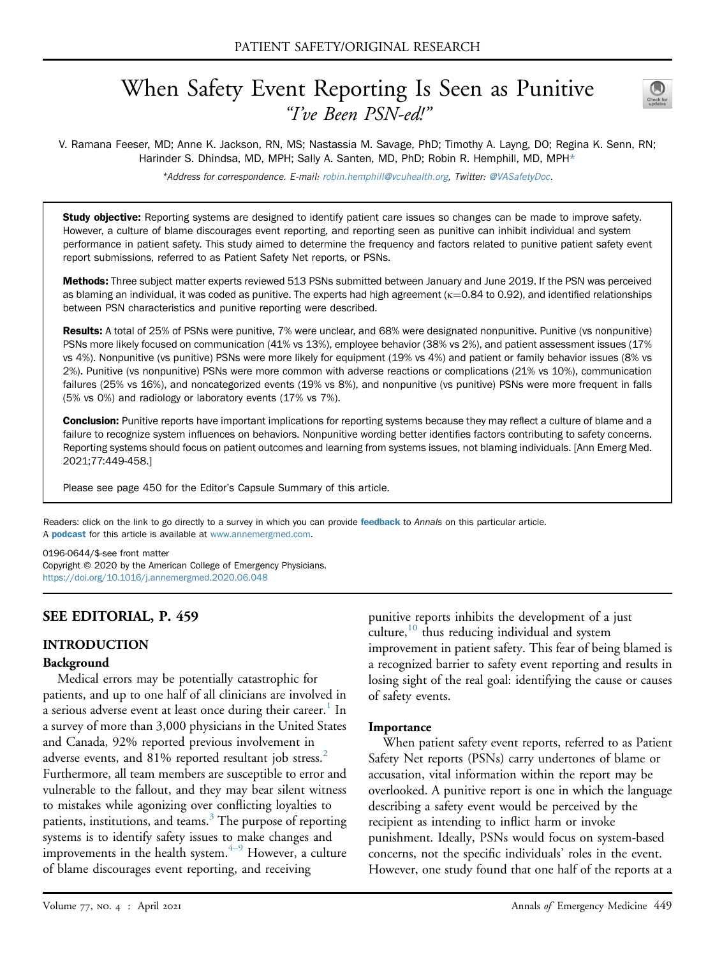# When Safety Event Reporting Is Seen as Punitive "I've Been PSN-ed!"



V. Ramana Feeser, MD; Anne K. Jackson, RN, MS; Nastassia M. Savage, PhD; Timothy A. Layng, DO; Regina K. Senn, RN; Harinder S. Dhindsa, MD, MPH; Sally A. Santen, MD, PhD; Robin R. Hemphill, MD, MPH\*

\*Address for correspondence. E-mail: [robin.hemphill@vcuhealth.org,](mailto:robin.hemphill@vcuhealth.org) Twitter: [@VASafetyDoc](https://twitter.com/VASafetyDoc).

**Study objective:** Reporting systems are designed to identify patient care issues so changes can be made to improve safety. However, a culture of blame discourages event reporting, and reporting seen as punitive can inhibit individual and system performance in patient safety. This study aimed to determine the frequency and factors related to punitive patient safety event report submissions, referred to as Patient Safety Net reports, or PSNs.

Methods: Three subject matter experts reviewed 513 PSNs submitted between January and June 2019. If the PSN was perceived as blaming an individual, it was coded as punitive. The experts had high agreement ( $\kappa$ =0.84 to 0.92), and identified relationships between PSN characteristics and punitive reporting were described.

Results: A total of 25% of PSNs were punitive, 7% were unclear, and 68% were designated nonpunitive. Punitive (vs nonpunitive) PSNs more likely focused on communication (41% vs 13%), employee behavior (38% vs 2%), and patient assessment issues (17% vs 4%). Nonpunitive (vs punitive) PSNs were more likely for equipment (19% vs 4%) and patient or family behavior issues (8% vs 2%). Punitive (vs nonpunitive) PSNs were more common with adverse reactions or complications (21% vs 10%), communication failures (25% vs 16%), and noncategorized events (19% vs 8%), and nonpunitive (vs punitive) PSNs were more frequent in falls (5% vs 0%) and radiology or laboratory events (17% vs 7%).

**Conclusion:** Punitive reports have important implications for reporting systems because they may reflect a culture of blame and a failure to recognize system influences on behaviors. Nonpunitive wording better identifies factors contributing to safety concerns. Reporting systems should focus on patient outcomes and learning from systems issues, not blaming individuals. [Ann Emerg Med. 2021;77:449-458.]

Please see page 450 for the Editor's Capsule Summary of this article.

Readers: click on the link to go directly to a survey in which you can provide [feedback](https://www.surveymonkey.com/r/FPBVFLQ) to Annals on this particular article. A **[podcast](http://annemergmed.com/content/podcast)** for this article is available at [www.annemergmed.com](http://www.annemergmed.com).

0196-0644/\$-see front matter

Copyright © 2020 by the American College of Emergency Physicians. <https://doi.org/10.1016/j.annemergmed.2020.06.048>

# SEE EDITORIAL, P. 459

# INTRODUCTION

### Background

Medical errors may be potentially catastrophic for patients, and up to one half of all clinicians are involved in a serious adverse event at least once during their career.<sup>1</sup> In a survey of more than 3,000 physicians in the United States and Canada, 92% reported previous involvement in adverse events, and 81% reported resultant job stress.<sup>2</sup> Furthermore, all team members are susceptible to error and vulnerable to the fallout, and they may bear silent witness to mistakes while agonizing over conflicting loyalties to patients, institutions, and teams. $3$  The purpose of reporting systems is to identify safety issues to make changes and improvements in the health system. $4-9$  $4-9$  $4-9$  However, a culture of blame discourages event reporting, and receiving

punitive reports inhibits the development of a just culture,<sup>[10](#page-9-4)</sup> thus reducing individual and system improvement in patient safety. This fear of being blamed is a recognized barrier to safety event reporting and results in losing sight of the real goal: identifying the cause or causes of safety events.

### **Importance**

When patient safety event reports, referred to as Patient Safety Net reports (PSNs) carry undertones of blame or accusation, vital information within the report may be overlooked. A punitive report is one in which the language describing a safety event would be perceived by the recipient as intending to inflict harm or invoke punishment. Ideally, PSNs would focus on system-based concerns, not the specific individuals' roles in the event. However, one study found that one half of the reports at a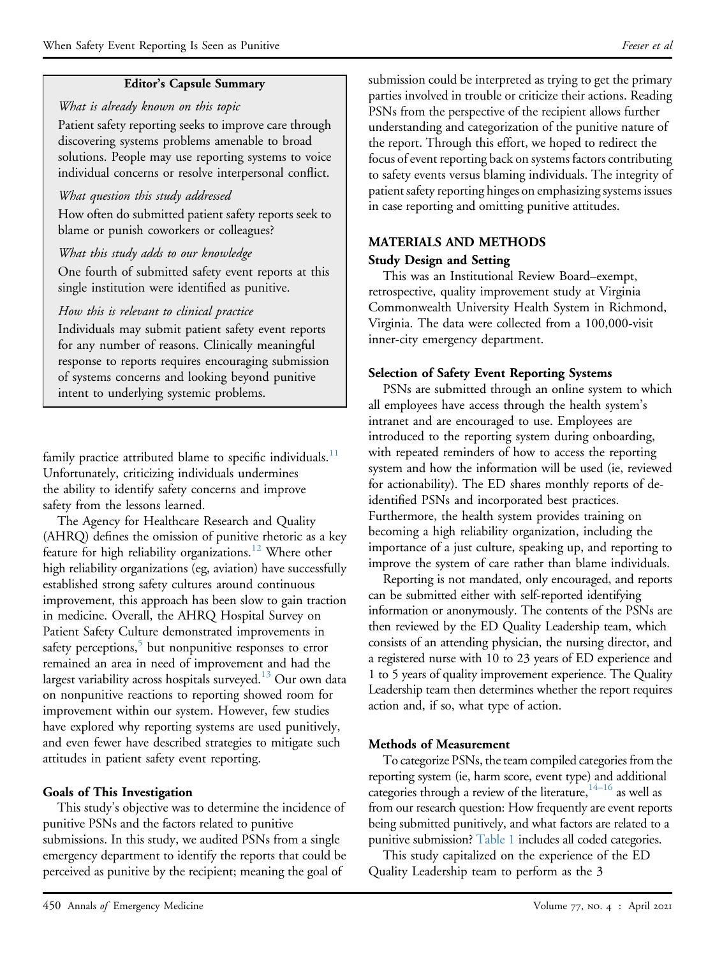# Editor's Capsule Summary

### What is already known on this topic

Patient safety reporting seeks to improve care through discovering systems problems amenable to broad solutions. People may use reporting systems to voice individual concerns or resolve interpersonal conflict.

### What question this study addressed

How often do submitted patient safety reports seek to blame or punish coworkers or colleagues?

### What this study adds to our knowledge

One fourth of submitted safety event reports at this single institution were identified as punitive.

# How this is relevant to clinical practice

Individuals may submit patient safety event reports for any number of reasons. Clinically meaningful response to reports requires encouraging submission of systems concerns and looking beyond punitive intent to underlying systemic problems.

family practice attributed blame to specific individuals.<sup>11</sup> Unfortunately, criticizing individuals undermines the ability to identify safety concerns and improve safety from the lessons learned.

The Agency for Healthcare Research and Quality (AHRQ) defines the omission of punitive rhetoric as a key feature for high reliability organizations.<sup>[12](#page-9-6)</sup> Where other high reliability organizations (eg, aviation) have successfully established strong safety cultures around continuous improvement, this approach has been slow to gain traction in medicine. Overall, the AHRQ Hospital Survey on Patient Safety Culture demonstrated improvements in safety perceptions, $5$  but nonpunitive responses to error remained an area in need of improvement and had the largest variability across hospitals surveyed. $^{13}$  $^{13}$  $^{13}$  Our own data on nonpunitive reactions to reporting showed room for improvement within our system. However, few studies have explored why reporting systems are used punitively, and even fewer have described strategies to mitigate such attitudes in patient safety event reporting.

# Goals of This Investigation

This study's objective was to determine the incidence of punitive PSNs and the factors related to punitive submissions. In this study, we audited PSNs from a single emergency department to identify the reports that could be perceived as punitive by the recipient; meaning the goal of

submission could be interpreted as trying to get the primary parties involved in trouble or criticize their actions. Reading PSNs from the perspective of the recipient allows further understanding and categorization of the punitive nature of the report. Through this effort, we hoped to redirect the focus of event reporting back on systems factors contributing to safety events versus blaming individuals. The integrity of patient safety reporting hinges on emphasizing systems issues in case reporting and omitting punitive attitudes.

# MATERIALS AND METHODS Study Design and Setting

This was an Institutional Review Board–exempt, retrospective, quality improvement study at Virginia Commonwealth University Health System in Richmond, Virginia. The data were collected from a 100,000-visit inner-city emergency department.

### Selection of Safety Event Reporting Systems

PSNs are submitted through an online system to which all employees have access through the health system's intranet and are encouraged to use. Employees are introduced to the reporting system during onboarding, with repeated reminders of how to access the reporting system and how the information will be used (ie, reviewed for actionability). The ED shares monthly reports of deidentified PSNs and incorporated best practices. Furthermore, the health system provides training on becoming a high reliability organization, including the importance of a just culture, speaking up, and reporting to improve the system of care rather than blame individuals.

Reporting is not mandated, only encouraged, and reports can be submitted either with self-reported identifying information or anonymously. The contents of the PSNs are then reviewed by the ED Quality Leadership team, which consists of an attending physician, the nursing director, and a registered nurse with 10 to 23 years of ED experience and 1 to 5 years of quality improvement experience. The Quality Leadership team then determines whether the report requires action and, if so, what type of action.

# Methods of Measurement

To categorize PSNs, the team compiled categories from the reporting system (ie, harm score, event type) and additional categories through a review of the literature,  $14-16$  $14-16$  as well as from our research question: How frequently are event reports being submitted punitively, and what factors are related to a punitive submission? [Table 1](#page-2-0) includes all coded categories.

This study capitalized on the experience of the ED Quality Leadership team to perform as the 3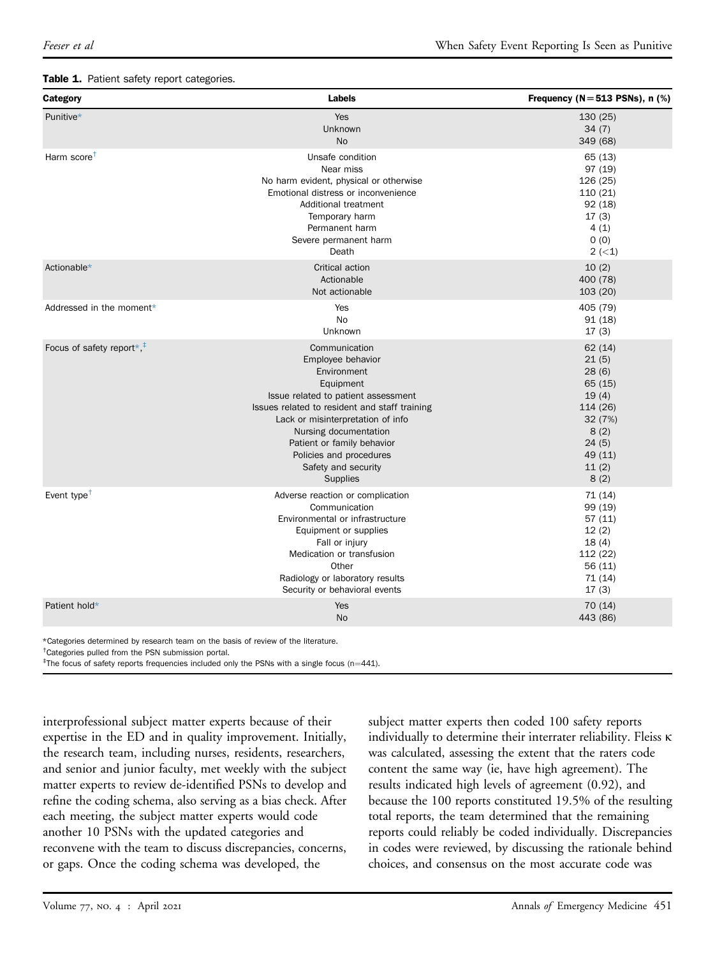#### <span id="page-2-0"></span>Table 1. Patient safety report categories.

| Category                                               | Labels                                                                                                                                                                                                                                                                                                                  | Frequency ( $N = 513$ PSNs), n (%)                                                                               |
|--------------------------------------------------------|-------------------------------------------------------------------------------------------------------------------------------------------------------------------------------------------------------------------------------------------------------------------------------------------------------------------------|------------------------------------------------------------------------------------------------------------------|
| Punitive*                                              | Yes<br><b>Unknown</b><br>No                                                                                                                                                                                                                                                                                             | 130(25)<br>34(7)<br>349 (68)                                                                                     |
| Harm score <sup>+</sup>                                | Unsafe condition<br>Near miss<br>No harm evident, physical or otherwise<br>Emotional distress or inconvenience<br>Additional treatment<br>Temporary harm<br>Permanent harm<br>Severe permanent harm<br>Death                                                                                                            | 65 (13)<br>97 (19)<br>126 (25)<br>110(21)<br>92(18)<br>17(3)<br>4(1)<br>0(0)<br>$2 (-1)$                         |
| Actionable*                                            | Critical action<br>Actionable<br>Not actionable                                                                                                                                                                                                                                                                         | 10(2)<br>400 (78)<br>103 (20)                                                                                    |
| Addressed in the moment*                               | Yes<br><b>No</b><br>Unknown                                                                                                                                                                                                                                                                                             | 405 (79)<br>91(18)<br>17(3)                                                                                      |
| Focus of safety report $*$ , <sup><math>+</math></sup> | Communication<br>Employee behavior<br>Environment<br>Equipment<br>Issue related to patient assessment<br>Issues related to resident and staff training<br>Lack or misinterpretation of info<br>Nursing documentation<br>Patient or family behavior<br>Policies and procedures<br>Safety and security<br><b>Supplies</b> | 62(14)<br>21(5)<br>28(6)<br>65 (15)<br>19(4)<br>114 (26)<br>32 (7%)<br>8(2)<br>24(5)<br>49 (11)<br>11(2)<br>8(2) |
| Event type <sup><math>†</math></sup>                   | Adverse reaction or complication<br>Communication<br>Environmental or infrastructure<br>Equipment or supplies<br>Fall or injury<br>Medication or transfusion<br>Other<br>Radiology or laboratory results<br>Security or behavioral events                                                                               | 71 (14)<br>99 (19)<br>57(11)<br>12(2)<br>18(4)<br>112 (22)<br>56 (11)<br>71 (14)<br>17(3)                        |
| Patient hold*                                          | Yes<br>No                                                                                                                                                                                                                                                                                                               | 70 (14)<br>443 (86)                                                                                              |

<span id="page-2-1"></span>\*Categories determined by research team on the basis of review of the literature.

<span id="page-2-2"></span>† Categories pulled from the PSN submission portal.

<span id="page-2-3"></span><sup>‡</sup>The focus of safety reports frequencies included only the PSNs with a single focus (n=441).

interprofessional subject matter experts because of their expertise in the ED and in quality improvement. Initially, the research team, including nurses, residents, researchers, and senior and junior faculty, met weekly with the subject matter experts to review de-identified PSNs to develop and refine the coding schema, also serving as a bias check. After each meeting, the subject matter experts would code another 10 PSNs with the updated categories and reconvene with the team to discuss discrepancies, concerns, or gaps. Once the coding schema was developed, the

subject matter experts then coded 100 safety reports individually to determine their interrater reliability. Fleiss  $\kappa$ was calculated, assessing the extent that the raters code content the same way (ie, have high agreement). The results indicated high levels of agreement (0.92), and because the 100 reports constituted 19.5% of the resulting total reports, the team determined that the remaining reports could reliably be coded individually. Discrepancies in codes were reviewed, by discussing the rationale behind choices, and consensus on the most accurate code was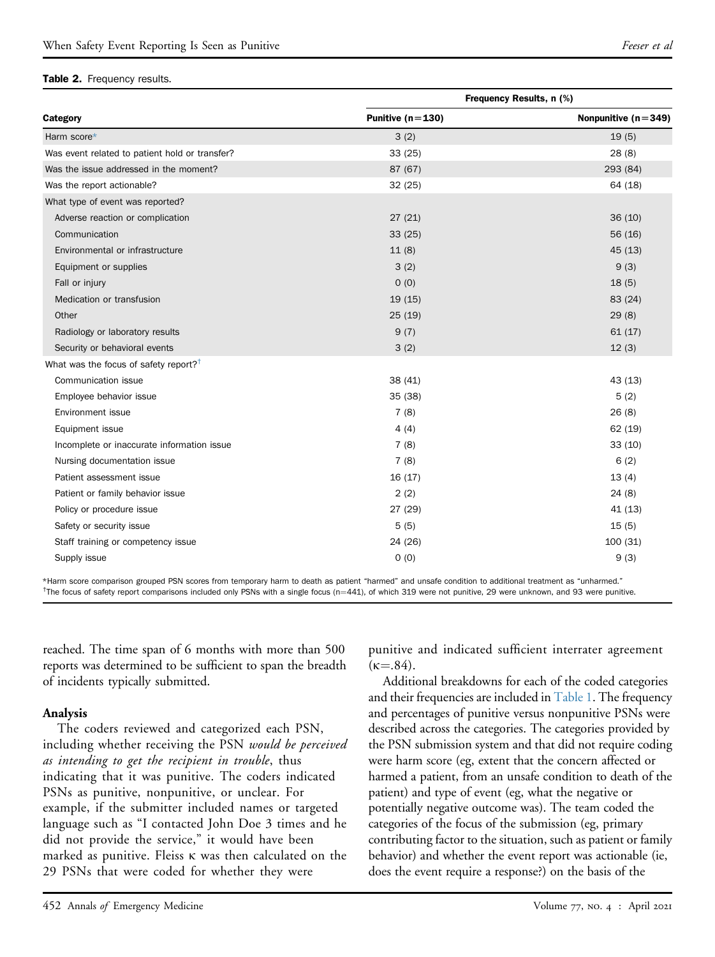#### <span id="page-3-2"></span>Table 2. Frequency results.

|                                                   | Frequency Results, n (%) |                       |  |
|---------------------------------------------------|--------------------------|-----------------------|--|
| Category                                          | Punitive $(n=130)$       | Nonpunitive $(n=349)$ |  |
| Harm score*                                       | 3(2)                     | 19(5)                 |  |
| Was event related to patient hold or transfer?    | 33(25)                   | 28(8)                 |  |
| Was the issue addressed in the moment?            | 87 (67)                  | 293 (84)              |  |
| Was the report actionable?                        | 32(25)                   | 64 (18)               |  |
| What type of event was reported?                  |                          |                       |  |
| Adverse reaction or complication                  | 27(21)                   | 36(10)                |  |
| Communication                                     | 33(25)                   | 56 (16)               |  |
| Environmental or infrastructure                   | 11(8)                    | 45(13)                |  |
| Equipment or supplies                             | 3(2)                     | 9(3)                  |  |
| Fall or injury                                    | 0(0)                     | 18(5)                 |  |
| Medication or transfusion                         | 19(15)                   | 83 (24)               |  |
| Other                                             | 25(19)                   | 29(8)                 |  |
| Radiology or laboratory results                   | 9(7)                     | 61(17)                |  |
| Security or behavioral events                     | 3(2)                     | 12(3)                 |  |
| What was the focus of safety report? <sup>†</sup> |                          |                       |  |
| Communication issue                               | 38 (41)                  | 43(13)                |  |
| Employee behavior issue                           | 35 (38)                  | 5(2)                  |  |
| Environment issue                                 | 7(8)                     | 26(8)                 |  |
| Equipment issue                                   | 4(4)                     | 62(19)                |  |
| Incomplete or inaccurate information issue        | 7(8)                     | 33(10)                |  |
| Nursing documentation issue                       | 7(8)                     | 6(2)                  |  |
| Patient assessment issue                          | 16(17)                   | 13(4)                 |  |
| Patient or family behavior issue                  | 2(2)                     | 24(8)                 |  |
| Policy or procedure issue                         | 27 (29)                  | 41 (13)               |  |
| Safety or security issue                          | 5(5)                     | 15(5)                 |  |
| Staff training or competency issue                | 24 (26)                  | 100(31)               |  |
| Supply issue                                      | 0(0)                     | 9(3)                  |  |

<span id="page-3-1"></span><span id="page-3-0"></span>\*Harm score comparison grouped PSN scores from temporary harm to death as patient "harmed" and unsafe condition to additional treatment as "unharmed." <sup>†</sup>The focus of safety report comparisons included only PSNs with a single focus (n=441), of which 319 were not punitive, 29 were unknown, and 93 were punitive.

reached. The time span of 6 months with more than 500 reports was determined to be sufficient to span the breadth of incidents typically submitted.

### Analysis

The coders reviewed and categorized each PSN, including whether receiving the PSN would be perceived as intending to get the recipient in trouble, thus indicating that it was punitive. The coders indicated PSNs as punitive, nonpunitive, or unclear. For example, if the submitter included names or targeted language such as "I contacted John Doe 3 times and he did not provide the service," it would have been marked as punitive. Fleiss  $\kappa$  was then calculated on the 29 PSNs that were coded for whether they were

punitive and indicated sufficient interrater agreement  $(k=.84).$ 

Additional breakdowns for each of the coded categories and their frequencies are included in [Table 1.](#page-2-0) The frequency and percentages of punitive versus nonpunitive PSNs were described across the categories. The categories provided by the PSN submission system and that did not require coding were harm score (eg, extent that the concern affected or harmed a patient, from an unsafe condition to death of the patient) and type of event (eg, what the negative or potentially negative outcome was). The team coded the categories of the focus of the submission (eg, primary contributing factor to the situation, such as patient or family behavior) and whether the event report was actionable (ie, does the event require a response?) on the basis of the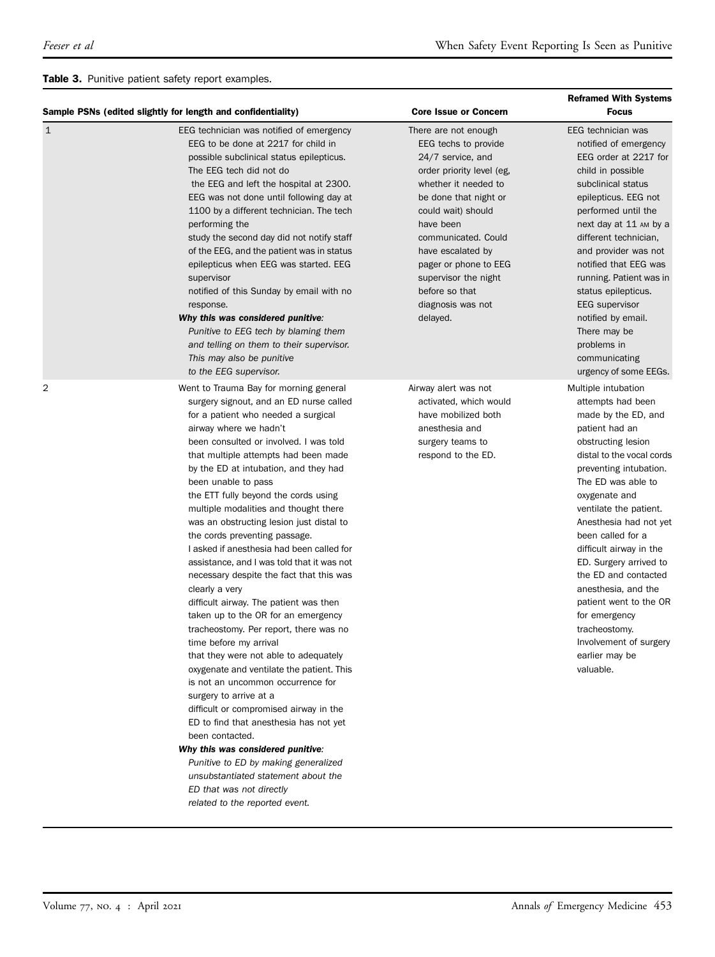### <span id="page-4-0"></span>Table 3. Punitive patient safety report examples.

|   | Sample PSNs (edited slightly for length and confidentiality)                                                                                                                                                                                                                                                                                                                                                                                                                                                                                                                                                                                                                                                                                                                                                                                                                                                                                                                                                                                                                                                                                                                                                                   | <b>Core Issue or Concern</b>                                                                                                                                                                                                                                                                                                       | <b>Reframed With Systems</b><br><b>Focus</b>                                                                                                                                                                                                                                                                                                                                                                                                                                                            |
|---|--------------------------------------------------------------------------------------------------------------------------------------------------------------------------------------------------------------------------------------------------------------------------------------------------------------------------------------------------------------------------------------------------------------------------------------------------------------------------------------------------------------------------------------------------------------------------------------------------------------------------------------------------------------------------------------------------------------------------------------------------------------------------------------------------------------------------------------------------------------------------------------------------------------------------------------------------------------------------------------------------------------------------------------------------------------------------------------------------------------------------------------------------------------------------------------------------------------------------------|------------------------------------------------------------------------------------------------------------------------------------------------------------------------------------------------------------------------------------------------------------------------------------------------------------------------------------|---------------------------------------------------------------------------------------------------------------------------------------------------------------------------------------------------------------------------------------------------------------------------------------------------------------------------------------------------------------------------------------------------------------------------------------------------------------------------------------------------------|
| 1 | EEG technician was notified of emergency<br>EEG to be done at 2217 for child in<br>possible subclinical status epilepticus.<br>The EEG tech did not do<br>the EEG and left the hospital at 2300.<br>EEG was not done until following day at<br>1100 by a different technician. The tech<br>performing the<br>study the second day did not notify staff<br>of the EEG, and the patient was in status<br>epilepticus when EEG was started. EEG<br>supervisor<br>notified of this Sunday by email with no<br>response.<br>Why this was considered punitive:<br>Punitive to EEG tech by blaming them<br>and telling on them to their supervisor.<br>This may also be punitive<br>to the EEG supervisor.                                                                                                                                                                                                                                                                                                                                                                                                                                                                                                                            | There are not enough<br>EEG techs to provide<br>24/7 service, and<br>order priority level (eg.<br>whether it needed to<br>be done that night or<br>could wait) should<br>have been<br>communicated. Could<br>have escalated by<br>pager or phone to EEG<br>supervisor the night<br>before so that<br>diagnosis was not<br>delayed. | EEG technician was<br>notified of emergency<br>EEG order at 2217 for<br>child in possible<br>subclinical status<br>epilepticus. EEG not<br>performed until the<br>next day at 11 AM by a<br>different technician,<br>and provider was not<br>notified that EEG was<br>running. Patient was in<br>status epilepticus.<br><b>EEG</b> supervisor<br>notified by email.<br>There may be<br>problems in<br>communicating<br>urgency of some EEGs.                                                            |
| 2 | Went to Trauma Bay for morning general<br>surgery signout, and an ED nurse called<br>for a patient who needed a surgical<br>airway where we hadn't<br>been consulted or involved. I was told<br>that multiple attempts had been made<br>by the ED at intubation, and they had<br>been unable to pass<br>the ETT fully beyond the cords using<br>multiple modalities and thought there<br>was an obstructing lesion just distal to<br>the cords preventing passage.<br>I asked if anesthesia had been called for<br>assistance, and I was told that it was not<br>necessary despite the fact that this was<br>clearly a very<br>difficult airway. The patient was then<br>taken up to the OR for an emergency<br>tracheostomy. Per report, there was no<br>time before my arrival<br>that they were not able to adequately<br>oxygenate and ventilate the patient. This<br>is not an uncommon occurrence for<br>surgery to arrive at a<br>difficult or compromised airway in the<br>ED to find that anesthesia has not yet<br>been contacted.<br>Why this was considered punitive:<br>Punitive to ED by making generalized<br>unsubstantiated statement about the<br>ED that was not directly<br>related to the reported event. | Airway alert was not<br>activated, which would<br>have mobilized both<br>anesthesia and<br>surgery teams to<br>respond to the ED.                                                                                                                                                                                                  | Multiple intubation<br>attempts had been<br>made by the ED, and<br>patient had an<br>obstructing lesion<br>distal to the vocal cords<br>preventing intubation.<br>The ED was able to<br>oxygenate and<br>ventilate the patient.<br>Anesthesia had not yet<br>been called for a<br>difficult airway in the<br>ED. Surgery arrived to<br>the ED and contacted<br>anesthesia, and the<br>patient went to the OR<br>for emergency<br>tracheostomy.<br>Involvement of surgery<br>earlier may be<br>valuable. |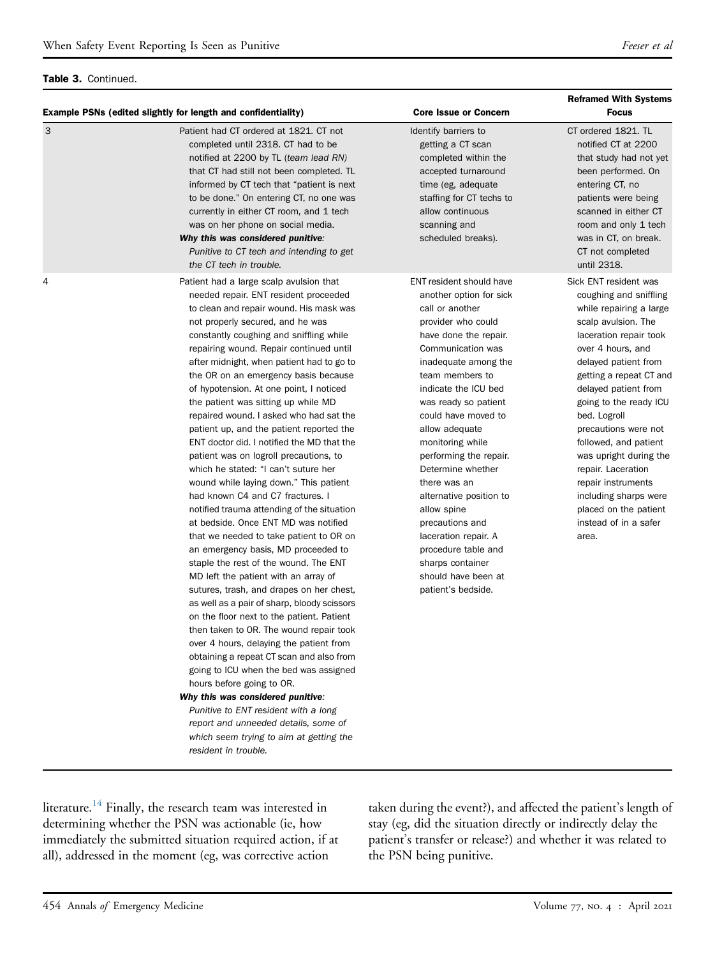### Table 3. Continued.

|   | <b>Example PSNs (edited slightly for length and confidentiality)</b>                                                                                                                                                                                                                                                                                                                                                                                                                                                                                                                                                                                                                                                                                                                                                                                                                                                                                                                                                                                                                                                                                                                                                                                                                                                                                                                                                                                                                                                                | <b>Core Issue or Concern</b>                                                                                                                                                                                                                                                                                                                                                                                                                                                                                                                   | <b>Reframed With Systems</b><br><b>Focus</b>                                                                                                                                                                                                                                                                                                                                                                                                                                     |
|---|-------------------------------------------------------------------------------------------------------------------------------------------------------------------------------------------------------------------------------------------------------------------------------------------------------------------------------------------------------------------------------------------------------------------------------------------------------------------------------------------------------------------------------------------------------------------------------------------------------------------------------------------------------------------------------------------------------------------------------------------------------------------------------------------------------------------------------------------------------------------------------------------------------------------------------------------------------------------------------------------------------------------------------------------------------------------------------------------------------------------------------------------------------------------------------------------------------------------------------------------------------------------------------------------------------------------------------------------------------------------------------------------------------------------------------------------------------------------------------------------------------------------------------------|------------------------------------------------------------------------------------------------------------------------------------------------------------------------------------------------------------------------------------------------------------------------------------------------------------------------------------------------------------------------------------------------------------------------------------------------------------------------------------------------------------------------------------------------|----------------------------------------------------------------------------------------------------------------------------------------------------------------------------------------------------------------------------------------------------------------------------------------------------------------------------------------------------------------------------------------------------------------------------------------------------------------------------------|
| 3 | Patient had CT ordered at 1821. CT not<br>completed until 2318. CT had to be<br>notified at 2200 by TL (team lead RN)<br>that CT had still not been completed. TL<br>informed by CT tech that "patient is next"<br>to be done." On entering CT, no one was<br>currently in either CT room, and 1 tech<br>was on her phone on social media.<br>Why this was considered punitive:<br>Punitive to CT tech and intending to get<br>the CT tech in trouble.                                                                                                                                                                                                                                                                                                                                                                                                                                                                                                                                                                                                                                                                                                                                                                                                                                                                                                                                                                                                                                                                              | Identify barriers to<br>getting a CT scan<br>completed within the<br>accepted turnaround<br>time (eg, adequate)<br>staffing for CT techs to<br>allow continuous<br>scanning and<br>scheduled breaks).                                                                                                                                                                                                                                                                                                                                          | CT ordered 1821. TL<br>notified CT at 2200<br>that study had not yet<br>been performed. On<br>entering CT, no<br>patients were being<br>scanned in either CT<br>room and only 1 tech<br>was in CT, on break.<br>CT not completed<br>until 2318.                                                                                                                                                                                                                                  |
| 4 | Patient had a large scalp avulsion that<br>needed repair. ENT resident proceeded<br>to clean and repair wound. His mask was<br>not properly secured, and he was<br>constantly coughing and sniffling while<br>repairing wound. Repair continued until<br>after midnight, when patient had to go to<br>the OR on an emergency basis because<br>of hypotension. At one point, I noticed<br>the patient was sitting up while MD<br>repaired wound. I asked who had sat the<br>patient up, and the patient reported the<br>ENT doctor did. I notified the MD that the<br>patient was on logroll precautions, to<br>which he stated: "I can't suture her<br>wound while laying down." This patient<br>had known C4 and C7 fractures. I<br>notified trauma attending of the situation<br>at bedside. Once ENT MD was notified<br>that we needed to take patient to OR on<br>an emergency basis, MD proceeded to<br>staple the rest of the wound. The ENT<br>MD left the patient with an array of<br>sutures, trash, and drapes on her chest,<br>as well as a pair of sharp, bloody scissors<br>on the floor next to the patient. Patient<br>then taken to OR. The wound repair took<br>over 4 hours, delaying the patient from<br>obtaining a repeat CT scan and also from<br>going to ICU when the bed was assigned<br>hours before going to OR.<br>Why this was considered punitive:<br>Punitive to ENT resident with a long<br>report and unneeded details, some of<br>which seem trying to aim at getting the<br>resident in trouble. | ENT resident should have<br>another option for sick<br>call or another<br>provider who could<br>have done the repair.<br>Communication was<br>inadequate among the<br>team members to<br>indicate the ICU bed<br>was ready so patient<br>could have moved to<br>allow adequate<br>monitoring while<br>performing the repair.<br>Determine whether<br>there was an<br>alternative position to<br>allow spine<br>precautions and<br>laceration repair. A<br>procedure table and<br>sharps container<br>should have been at<br>patient's bedside. | Sick ENT resident was<br>coughing and sniffling<br>while repairing a large<br>scalp avulsion. The<br>laceration repair took<br>over 4 hours, and<br>delayed patient from<br>getting a repeat CT and<br>delayed patient from<br>going to the ready ICU<br>bed. Logroll<br>precautions were not<br>followed, and patient<br>was upright during the<br>repair. Laceration<br>repair instruments<br>including sharps were<br>placed on the patient<br>instead of in a safer<br>area. |

literature.<sup>[14](#page-9-9)</sup> Finally, the research team was interested in determining whether the PSN was actionable (ie, how immediately the submitted situation required action, if at all), addressed in the moment (eg, was corrective action

taken during the event?), and affected the patient's length of stay (eg, did the situation directly or indirectly delay the patient's transfer or release?) and whether it was related to the PSN being punitive.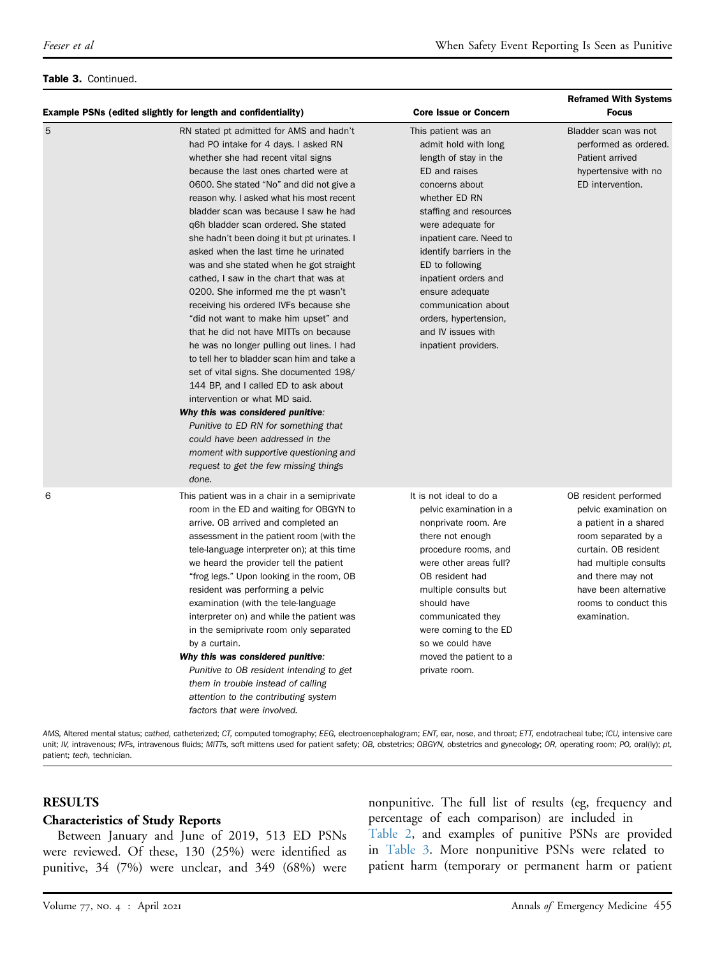### Table 3. Continued.

|   | Example PSNs (edited slightly for length and confidentiality)                                                                                                                                                                                                                                                                                                                                                                                                                                                                                                                                                                                                                                                                                                                                                                                                                                                                                                                                                                                                                                                      | <b>Core Issue or Concern</b>                                                                                                                                                                                                                                                                                                                                                               | <b>Reframed With Systems</b><br><b>Focus</b>                                                                                                                                                                                           |
|---|--------------------------------------------------------------------------------------------------------------------------------------------------------------------------------------------------------------------------------------------------------------------------------------------------------------------------------------------------------------------------------------------------------------------------------------------------------------------------------------------------------------------------------------------------------------------------------------------------------------------------------------------------------------------------------------------------------------------------------------------------------------------------------------------------------------------------------------------------------------------------------------------------------------------------------------------------------------------------------------------------------------------------------------------------------------------------------------------------------------------|--------------------------------------------------------------------------------------------------------------------------------------------------------------------------------------------------------------------------------------------------------------------------------------------------------------------------------------------------------------------------------------------|----------------------------------------------------------------------------------------------------------------------------------------------------------------------------------------------------------------------------------------|
| 5 | RN stated pt admitted for AMS and hadn't<br>had PO intake for 4 days. I asked RN<br>whether she had recent vital signs<br>because the last ones charted were at<br>0600. She stated "No" and did not give a<br>reason why. I asked what his most recent<br>bladder scan was because I saw he had<br>q6h bladder scan ordered. She stated<br>she hadn't been doing it but pt urinates. I<br>asked when the last time he urinated<br>was and she stated when he got straight<br>cathed, I saw in the chart that was at<br>0200. She informed me the pt wasn't<br>receiving his ordered IVFs because she<br>"did not want to make him upset" and<br>that he did not have MITTs on because<br>he was no longer pulling out lines. I had<br>to tell her to bladder scan him and take a<br>set of vital signs. She documented 198/<br>144 BP, and I called ED to ask about<br>intervention or what MD said.<br>Why this was considered punitive:<br>Punitive to ED RN for something that<br>could have been addressed in the<br>moment with supportive questioning and<br>request to get the few missing things<br>done. | This patient was an<br>admit hold with long<br>length of stay in the<br>ED and raises<br>concerns about<br>whether ED RN<br>staffing and resources<br>were adequate for<br>inpatient care. Need to<br>identify barriers in the<br>ED to following<br>inpatient orders and<br>ensure adequate<br>communication about<br>orders, hypertension,<br>and IV issues with<br>inpatient providers. | Bladder scan was not<br>performed as ordered.<br>Patient arrived<br>hypertensive with no<br>ED intervention.                                                                                                                           |
| 6 | This patient was in a chair in a semiprivate<br>room in the ED and waiting for OBGYN to<br>arrive. OB arrived and completed an<br>assessment in the patient room (with the<br>tele-language interpreter on); at this time<br>we heard the provider tell the patient<br>"frog legs." Upon looking in the room, OB<br>resident was performing a pelvic<br>examination (with the tele-language<br>interpreter on) and while the patient was<br>in the semiprivate room only separated<br>by a curtain.<br>Why this was considered punitive:<br>Punitive to OB resident intending to get<br>them in trouble instead of calling<br>attention to the contributing system<br>factors that were involved.                                                                                                                                                                                                                                                                                                                                                                                                                  | It is not ideal to do a<br>pelvic examination in a<br>nonprivate room. Are<br>there not enough<br>procedure rooms, and<br>were other areas full?<br>OB resident had<br>multiple consults but<br>should have<br>communicated they<br>were coming to the ED<br>so we could have<br>moved the patient to a<br>private room.                                                                   | OB resident performed<br>pelvic examination on<br>a patient in a shared<br>room separated by a<br>curtain. OB resident<br>had multiple consults<br>and there may not<br>have been alternative<br>rooms to conduct this<br>examination. |

AMS, Altered mental status; cathed, catheterized; CT, computed tomography; EEG, electroencephalogram; ENT, ear, nose, and throat; ETT, endotracheal tube; ICU, intensive care unit; IV, intravenous; IVFs, intravenous fluids; MITTs, soft mittens used for patient safety; OB, obstetrics; OBGYN, obstetrics and gynecology; OR, operating room; PO, oral(ly); pt, patient; tech, technician.

### RESULTS

### Characteristics of Study Reports

Between January and June of 2019, 513 ED PSNs were reviewed. Of these, 130 (25%) were identified as punitive, 34 (7%) were unclear, and 349 (68%) were

nonpunitive. The full list of results (eg, frequency and percentage of each comparison) are included in [Table 2,](#page-3-2) and examples of punitive PSNs are provided in [Table 3](#page-4-0). More nonpunitive PSNs were related to patient harm (temporary or permanent harm or patient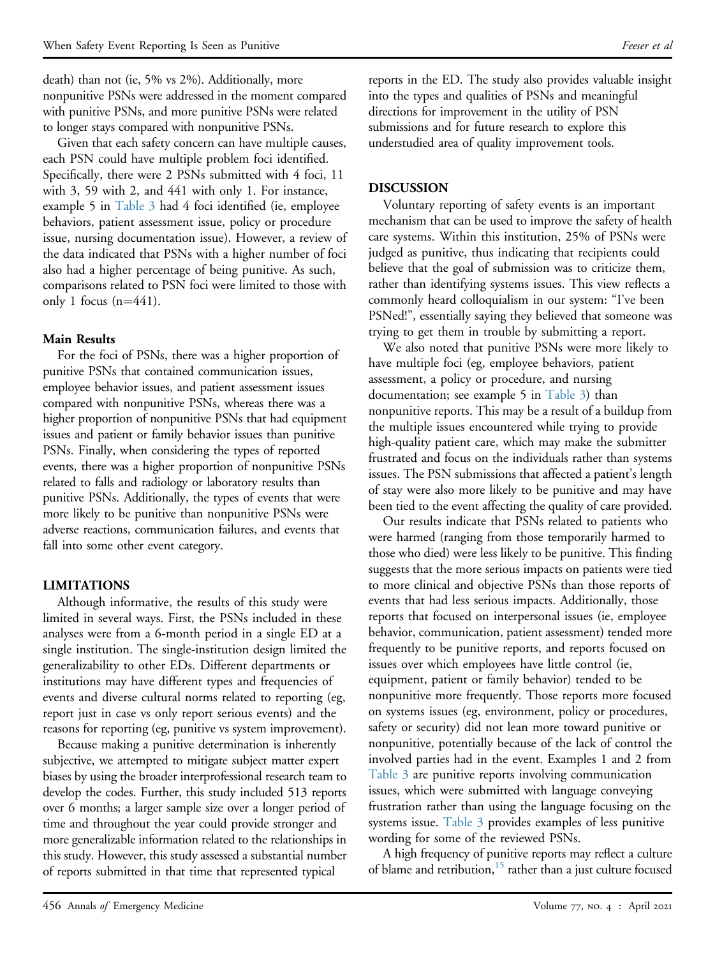death) than not (ie, 5% vs 2%). Additionally, more nonpunitive PSNs were addressed in the moment compared with punitive PSNs, and more punitive PSNs were related to longer stays compared with nonpunitive PSNs.

Given that each safety concern can have multiple causes, each PSN could have multiple problem foci identified. Specifically, there were 2 PSNs submitted with 4 foci, 11 with 3, 59 with 2, and 441 with only 1. For instance, example 5 in [Table 3](#page-4-0) had 4 foci identified (ie, employee behaviors, patient assessment issue, policy or procedure issue, nursing documentation issue). However, a review of the data indicated that PSNs with a higher number of foci also had a higher percentage of being punitive. As such, comparisons related to PSN foci were limited to those with only 1 focus  $(n=441)$ .

### Main Results

For the foci of PSNs, there was a higher proportion of punitive PSNs that contained communication issues, employee behavior issues, and patient assessment issues compared with nonpunitive PSNs, whereas there was a higher proportion of nonpunitive PSNs that had equipment issues and patient or family behavior issues than punitive PSNs. Finally, when considering the types of reported events, there was a higher proportion of nonpunitive PSNs related to falls and radiology or laboratory results than punitive PSNs. Additionally, the types of events that were more likely to be punitive than nonpunitive PSNs were adverse reactions, communication failures, and events that fall into some other event category.

# LIMITATIONS

Although informative, the results of this study were limited in several ways. First, the PSNs included in these analyses were from a 6-month period in a single ED at a single institution. The single-institution design limited the generalizability to other EDs. Different departments or institutions may have different types and frequencies of events and diverse cultural norms related to reporting (eg, report just in case vs only report serious events) and the reasons for reporting (eg, punitive vs system improvement).

Because making a punitive determination is inherently subjective, we attempted to mitigate subject matter expert biases by using the broader interprofessional research team to develop the codes. Further, this study included 513 reports over 6 months; a larger sample size over a longer period of time and throughout the year could provide stronger and more generalizable information related to the relationships in this study. However, this study assessed a substantial number of reports submitted in that time that represented typical

reports in the ED. The study also provides valuable insight into the types and qualities of PSNs and meaningful directions for improvement in the utility of PSN submissions and for future research to explore this understudied area of quality improvement tools.

### DISCUSSION

Voluntary reporting of safety events is an important mechanism that can be used to improve the safety of health care systems. Within this institution, 25% of PSNs were judged as punitive, thus indicating that recipients could believe that the goal of submission was to criticize them, rather than identifying systems issues. This view reflects a commonly heard colloquialism in our system: "I've been PSNed!", essentially saying they believed that someone was trying to get them in trouble by submitting a report.

We also noted that punitive PSNs were more likely to have multiple foci (eg, employee behaviors, patient assessment, a policy or procedure, and nursing documentation; see example 5 in [Table 3\)](#page-4-0) than nonpunitive reports. This may be a result of a buildup from the multiple issues encountered while trying to provide high-quality patient care, which may make the submitter frustrated and focus on the individuals rather than systems issues. The PSN submissions that affected a patient's length of stay were also more likely to be punitive and may have been tied to the event affecting the quality of care provided.

Our results indicate that PSNs related to patients who were harmed (ranging from those temporarily harmed to those who died) were less likely to be punitive. This finding suggests that the more serious impacts on patients were tied to more clinical and objective PSNs than those reports of events that had less serious impacts. Additionally, those reports that focused on interpersonal issues (ie, employee behavior, communication, patient assessment) tended more frequently to be punitive reports, and reports focused on issues over which employees have little control (ie, equipment, patient or family behavior) tended to be nonpunitive more frequently. Those reports more focused on systems issues (eg, environment, policy or procedures, safety or security) did not lean more toward punitive or nonpunitive, potentially because of the lack of control the involved parties had in the event. Examples 1 and 2 from [Table 3](#page-4-0) are punitive reports involving communication issues, which were submitted with language conveying frustration rather than using the language focusing on the systems issue. [Table 3](#page-4-0) provides examples of less punitive wording for some of the reviewed PSNs.

A high frequency of punitive reports may reflect a culture of blame and retribution,  $15$  rather than a just culture focused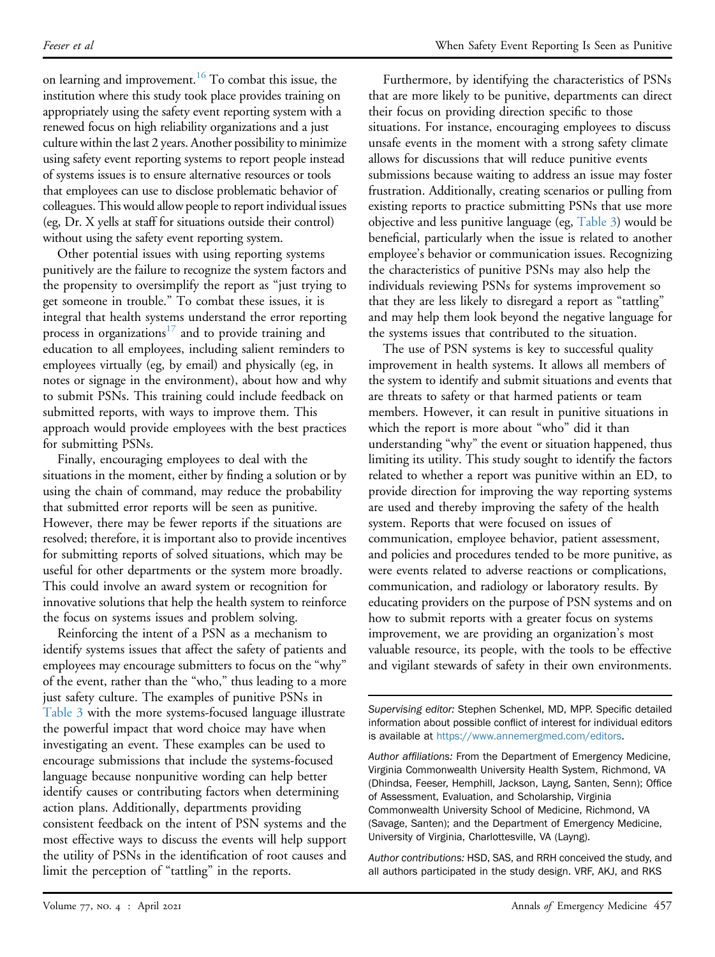on learning and improvement.<sup>16</sup> To combat this issue, the institution where this study took place provides training on appropriately using the safety event reporting system with a renewed focus on high reliability organizations and a just culture within the last 2 years. Another possibility to minimize using safety event reporting systems to report people instead of systems issues is to ensure alternative resources or tools that employees can use to disclose problematic behavior of colleagues. This would allow people to report individual issues (eg, Dr. X yells at staff for situations outside their control) without using the safety event reporting system.

Other potential issues with using reporting systems punitively are the failure to recognize the system factors and the propensity to oversimplify the report as "just trying to get someone in trouble." To combat these issues, it is integral that health systems understand the error reporting process in organizations<sup>[17](#page-9-12)</sup> and to provide training and education to all employees, including salient reminders to employees virtually (eg, by email) and physically (eg, in notes or signage in the environment), about how and why to submit PSNs. This training could include feedback on submitted reports, with ways to improve them. This approach would provide employees with the best practices for submitting PSNs.

Finally, encouraging employees to deal with the situations in the moment, either by finding a solution or by using the chain of command, may reduce the probability that submitted error reports will be seen as punitive. However, there may be fewer reports if the situations are resolved; therefore, it is important also to provide incentives for submitting reports of solved situations, which may be useful for other departments or the system more broadly. This could involve an award system or recognition for innovative solutions that help the health system to reinforce the focus on systems issues and problem solving.

Reinforcing the intent of a PSN as a mechanism to identify systems issues that affect the safety of patients and employees may encourage submitters to focus on the "why" of the event, rather than the "who," thus leading to a more just safety culture. The examples of punitive PSNs in [Table 3](#page-4-0) with the more systems-focused language illustrate the powerful impact that word choice may have when investigating an event. These examples can be used to encourage submissions that include the systems-focused language because nonpunitive wording can help better identify causes or contributing factors when determining action plans. Additionally, departments providing consistent feedback on the intent of PSN systems and the most effective ways to discuss the events will help support the utility of PSNs in the identification of root causes and limit the perception of "tattling" in the reports.

Furthermore, by identifying the characteristics of PSNs that are more likely to be punitive, departments can direct their focus on providing direction specific to those situations. For instance, encouraging employees to discuss unsafe events in the moment with a strong safety climate allows for discussions that will reduce punitive events submissions because waiting to address an issue may foster frustration. Additionally, creating scenarios or pulling from existing reports to practice submitting PSNs that use more objective and less punitive language (eg, [Table 3\)](#page-4-0) would be beneficial, particularly when the issue is related to another employee's behavior or communication issues. Recognizing the characteristics of punitive PSNs may also help the individuals reviewing PSNs for systems improvement so that they are less likely to disregard a report as "tattling" and may help them look beyond the negative language for the systems issues that contributed to the situation.

The use of PSN systems is key to successful quality improvement in health systems. It allows all members of the system to identify and submit situations and events that are threats to safety or that harmed patients or team members. However, it can result in punitive situations in which the report is more about "who" did it than understanding "why" the event or situation happened, thus limiting its utility. This study sought to identify the factors related to whether a report was punitive within an ED, to provide direction for improving the way reporting systems are used and thereby improving the safety of the health system. Reports that were focused on issues of communication, employee behavior, patient assessment, and policies and procedures tended to be more punitive, as were events related to adverse reactions or complications, communication, and radiology or laboratory results. By educating providers on the purpose of PSN systems and on how to submit reports with a greater focus on systems improvement, we are providing an organization's most valuable resource, its people, with the tools to be effective and vigilant stewards of safety in their own environments.

Supervising editor: Stephen Schenkel, MD, MPP. Specific detailed information about possible conflict of interest for individual editors is available at [https://www.annemergmed.com/editors.](https://www.annemergmed.com/editors)

Author affiliations: From the Department of Emergency Medicine, Virginia Commonwealth University Health System, Richmond, VA (Dhindsa, Feeser, Hemphill, Jackson, Layng, Santen, Senn); Office of Assessment, Evaluation, and Scholarship, Virginia Commonwealth University School of Medicine, Richmond, VA (Savage, Santen); and the Department of Emergency Medicine, University of Virginia, Charlottesville, VA (Layng).

Author contributions: HSD, SAS, and RRH conceived the study, and all authors participated in the study design. VRF, AKJ, and RKS